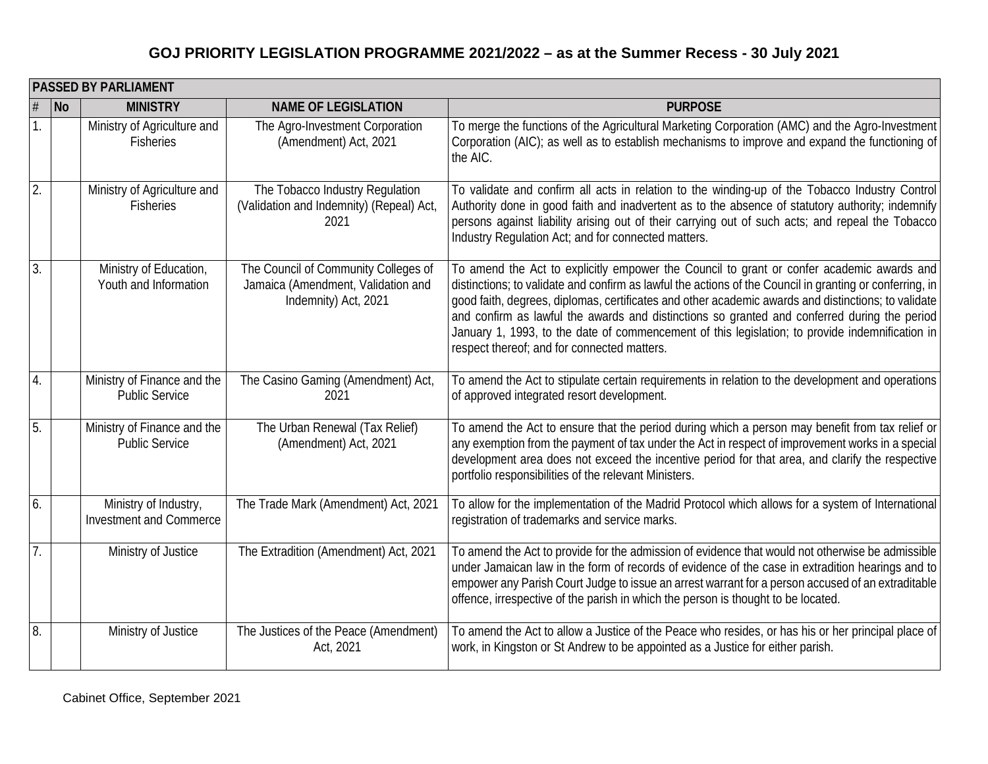|                  |                          | <b>PASSED BY PARLIAMENT</b>                             |                                                                                                    |                                                                                                                                                                                                                                                                                                                                                                                                                                                                                                                                                                |
|------------------|--------------------------|---------------------------------------------------------|----------------------------------------------------------------------------------------------------|----------------------------------------------------------------------------------------------------------------------------------------------------------------------------------------------------------------------------------------------------------------------------------------------------------------------------------------------------------------------------------------------------------------------------------------------------------------------------------------------------------------------------------------------------------------|
|                  | $\overline{\mathsf{No}}$ | <b>MINISTRY</b>                                         | <b>NAME OF LEGISLATION</b>                                                                         | <b>PURPOSE</b>                                                                                                                                                                                                                                                                                                                                                                                                                                                                                                                                                 |
| $\mathbf{1}$     |                          | Ministry of Agriculture and<br>Fisheries                | The Agro-Investment Corporation<br>(Amendment) Act, 2021                                           | To merge the functions of the Agricultural Marketing Corporation (AMC) and the Agro-Investment<br>Corporation (AIC); as well as to establish mechanisms to improve and expand the functioning of<br>the AIC.                                                                                                                                                                                                                                                                                                                                                   |
| 2.               |                          | Ministry of Agriculture and<br><b>Fisheries</b>         | The Tobacco Industry Regulation<br>(Validation and Indemnity) (Repeal) Act,<br>2021                | To validate and confirm all acts in relation to the winding-up of the Tobacco Industry Control<br>Authority done in good faith and inadvertent as to the absence of statutory authority; indemnify<br>persons against liability arising out of their carrying out of such acts; and repeal the Tobacco<br>Industry Regulation Act; and for connected matters.                                                                                                                                                                                                  |
| 3.               |                          | Ministry of Education,<br>Youth and Information         | The Council of Community Colleges of<br>Jamaica (Amendment, Validation and<br>Indemnity) Act, 2021 | To amend the Act to explicitly empower the Council to grant or confer academic awards and<br>distinctions; to validate and confirm as lawful the actions of the Council in granting or conferring, in<br>good faith, degrees, diplomas, certificates and other academic awards and distinctions; to validate<br>and confirm as lawful the awards and distinctions so granted and conferred during the period<br>January 1, 1993, to the date of commencement of this legislation; to provide indemnification in<br>respect thereof; and for connected matters. |
| $\overline{4}$ . |                          | Ministry of Finance and the<br><b>Public Service</b>    | The Casino Gaming (Amendment) Act,<br>2021                                                         | To amend the Act to stipulate certain requirements in relation to the development and operations<br>of approved integrated resort development.                                                                                                                                                                                                                                                                                                                                                                                                                 |
| 5.               |                          | Ministry of Finance and the<br><b>Public Service</b>    | The Urban Renewal (Tax Relief)<br>(Amendment) Act, 2021                                            | To amend the Act to ensure that the period during which a person may benefit from tax relief or<br>any exemption from the payment of tax under the Act in respect of improvement works in a special<br>development area does not exceed the incentive period for that area, and clarify the respective<br>portfolio responsibilities of the relevant Ministers.                                                                                                                                                                                                |
| 6.               |                          | Ministry of Industry,<br><b>Investment and Commerce</b> | The Trade Mark (Amendment) Act, 2021                                                               | To allow for the implementation of the Madrid Protocol which allows for a system of International<br>registration of trademarks and service marks.                                                                                                                                                                                                                                                                                                                                                                                                             |
| 7.               |                          | Ministry of Justice                                     | The Extradition (Amendment) Act, 2021                                                              | To amend the Act to provide for the admission of evidence that would not otherwise be admissible<br>under Jamaican law in the form of records of evidence of the case in extradition hearings and to<br>empower any Parish Court Judge to issue an arrest warrant for a person accused of an extraditable<br>offence, irrespective of the parish in which the person is thought to be located.                                                                                                                                                                 |
| 8.               |                          | Ministry of Justice                                     | The Justices of the Peace (Amendment)<br>Act, 2021                                                 | To amend the Act to allow a Justice of the Peace who resides, or has his or her principal place of<br>work, in Kingston or St Andrew to be appointed as a Justice for either parish.                                                                                                                                                                                                                                                                                                                                                                           |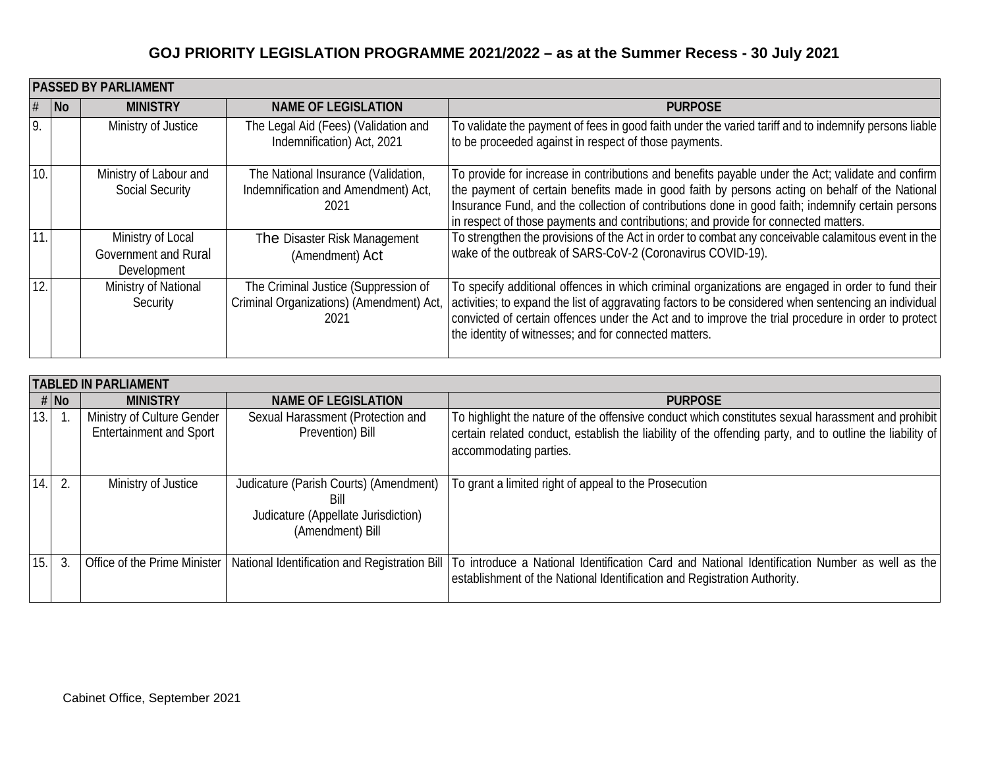|     | <b>PASSED BY PARLIAMENT</b> |                                                          |                                                                                          |                                                                                                                                                                                                                                                                                                                                                                                                |  |
|-----|-----------------------------|----------------------------------------------------------|------------------------------------------------------------------------------------------|------------------------------------------------------------------------------------------------------------------------------------------------------------------------------------------------------------------------------------------------------------------------------------------------------------------------------------------------------------------------------------------------|--|
|     | $\overline{\mathsf{N}}$     | <b>MINISTRY</b>                                          | <b>NAME OF LEGISLATION</b>                                                               | <b>PURPOSE</b>                                                                                                                                                                                                                                                                                                                                                                                 |  |
| 9   |                             | Ministry of Justice                                      | The Legal Aid (Fees) (Validation and<br>Indemnification) Act, 2021                       | To validate the payment of fees in good faith under the varied tariff and to indemnify persons liable<br>to be proceeded against in respect of those payments.                                                                                                                                                                                                                                 |  |
| 10. |                             | Ministry of Labour and<br><b>Social Security</b>         | The National Insurance (Validation,<br>Indemnification and Amendment) Act,<br>2021       | To provide for increase in contributions and benefits payable under the Act; validate and confirm<br>the payment of certain benefits made in good faith by persons acting on behalf of the National<br>Insurance Fund, and the collection of contributions done in good faith; indemnify certain persons<br>in respect of those payments and contributions; and provide for connected matters. |  |
| 11  |                             | Ministry of Local<br>Government and Rural<br>Development | The Disaster Risk Management<br>(Amendment) Act                                          | To strengthen the provisions of the Act in order to combat any conceivable calamitous event in the<br>wake of the outbreak of SARS-CoV-2 (Coronavirus COVID-19).                                                                                                                                                                                                                               |  |
| 12. |                             | Ministry of National<br>Security                         | The Criminal Justice (Suppression of<br>Criminal Organizations) (Amendment) Act,<br>2021 | To specify additional offences in which criminal organizations are engaged in order to fund their<br>activities; to expand the list of aggravating factors to be considered when sentencing an individual<br>convicted of certain offences under the Act and to improve the trial procedure in order to protect<br>the identity of witnesses; and for connected matters.                       |  |

|      | <b>TABLED IN PARLIAMENT</b> |                                                              |                                                                                                           |                                                                                                                                                                                                                                         |
|------|-----------------------------|--------------------------------------------------------------|-----------------------------------------------------------------------------------------------------------|-----------------------------------------------------------------------------------------------------------------------------------------------------------------------------------------------------------------------------------------|
|      | $#$ No                      | <b>MINISTRY</b>                                              | <b>NAME OF LEGISLATION</b>                                                                                | <b>PURPOSE</b>                                                                                                                                                                                                                          |
| 13.1 |                             | Ministry of Culture Gender<br><b>Entertainment and Sport</b> | Sexual Harassment (Protection and<br>Prevention) Bill                                                     | To highlight the nature of the offensive conduct which constitutes sexual harassment and prohibit<br>certain related conduct, establish the liability of the offending party, and to outline the liability of<br>accommodating parties. |
|      |                             | Ministry of Justice                                          | Judicature (Parish Courts) (Amendment)<br>Bill<br>Judicature (Appellate Jurisdiction)<br>(Amendment) Bill | To grant a limited right of appeal to the Prosecution                                                                                                                                                                                   |
| 15.  |                             | Office of the Prime Minister                                 |                                                                                                           | National Identification and Registration Bill   To introduce a National Identification Card and National Identification Number as well as the  <br>establishment of the National Identification and Registration Authority.             |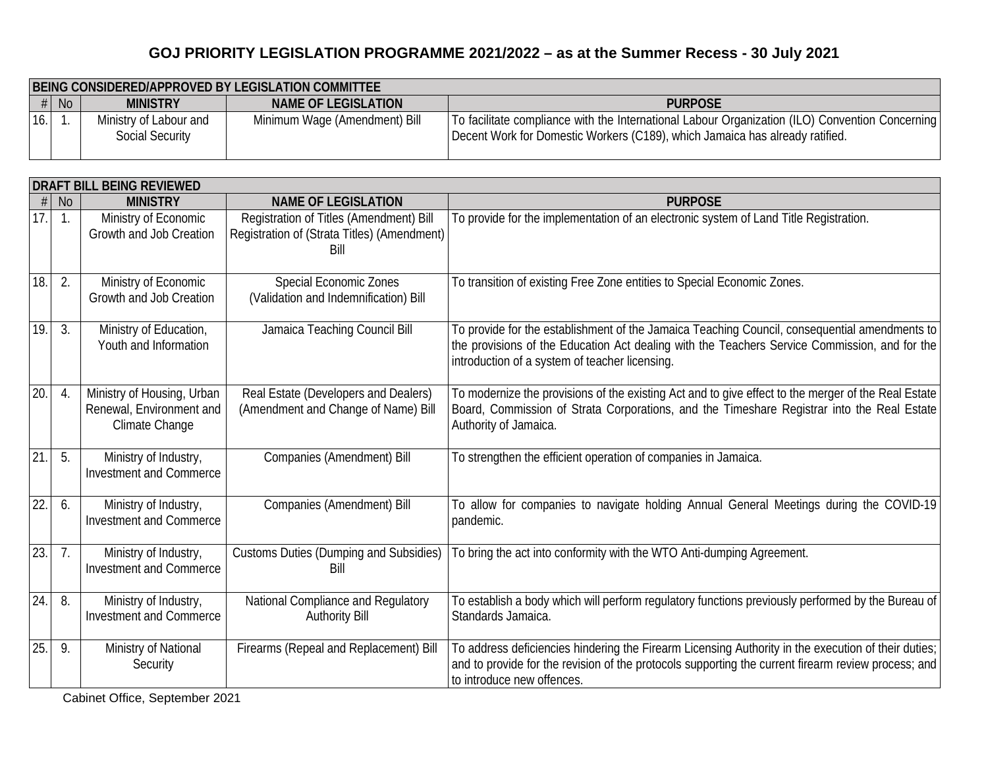|     | BEING CONSIDERED/APPROVED BY LEGISLATION COMMITTEE |                                                  |                               |                                                                                                                                                                                 |  |
|-----|----------------------------------------------------|--------------------------------------------------|-------------------------------|---------------------------------------------------------------------------------------------------------------------------------------------------------------------------------|--|
|     | $\#$ No                                            | <b>MINISTRY</b>                                  | NAME OF LEGISLATION           | <b>PURPOSE</b>                                                                                                                                                                  |  |
| 16. |                                                    | Ministry of Labour and<br><b>Social Security</b> | Minimum Wage (Amendment) Bill | To facilitate compliance with the International Labour Organization (ILO) Convention Concerning<br>Decent Work for Domestic Workers (C189), which Jamaica has already ratified. |  |

|                   | DRAFT BILL BEING REVIEWED |                                                                          |                                                                                                |                                                                                                                                                                                                                                                  |  |
|-------------------|---------------------------|--------------------------------------------------------------------------|------------------------------------------------------------------------------------------------|--------------------------------------------------------------------------------------------------------------------------------------------------------------------------------------------------------------------------------------------------|--|
|                   | <b>No</b>                 | <b>MINISTRY</b>                                                          | <b>NAME OF LEGISLATION</b>                                                                     | <b>PURPOSE</b>                                                                                                                                                                                                                                   |  |
| 17.               | $\overline{1}$ .          | Ministry of Economic<br>Growth and Job Creation                          | Registration of Titles (Amendment) Bill<br>Registration of (Strata Titles) (Amendment)<br>Bill | To provide for the implementation of an electronic system of Land Title Registration.                                                                                                                                                            |  |
| $\overline{18}$ . | 2.                        | Ministry of Economic<br>Growth and Job Creation                          | <b>Special Economic Zones</b><br>(Validation and Indemnification) Bill                         | To transition of existing Free Zone entities to Special Economic Zones.                                                                                                                                                                          |  |
| 19.               | 3.                        | Ministry of Education,<br>Youth and Information                          | Jamaica Teaching Council Bill                                                                  | To provide for the establishment of the Jamaica Teaching Council, consequential amendments to<br>the provisions of the Education Act dealing with the Teachers Service Commission, and for the<br>introduction of a system of teacher licensing. |  |
| 20                | $\overline{4}$ .          | Ministry of Housing, Urban<br>Renewal, Environment and<br>Climate Change | Real Estate (Developers and Dealers)<br>(Amendment and Change of Name) Bill                    | To modernize the provisions of the existing Act and to give effect to the merger of the Real Estate<br>Board, Commission of Strata Corporations, and the Timeshare Registrar into the Real Estate<br>Authority of Jamaica.                       |  |
| $\overline{21}$   | 5.                        | Ministry of Industry,<br><b>Investment and Commerce</b>                  | Companies (Amendment) Bill                                                                     | To strengthen the efficient operation of companies in Jamaica.                                                                                                                                                                                   |  |
| 22                | 6.                        | Ministry of Industry,<br><b>Investment and Commerce</b>                  | Companies (Amendment) Bill                                                                     | To allow for companies to navigate holding Annual General Meetings during the COVID-19<br>pandemic.                                                                                                                                              |  |
| $\overline{23}$   | 7.                        | Ministry of Industry,<br><b>Investment and Commerce</b>                  | <b>Customs Duties (Dumping and Subsidies)</b><br>Bill                                          | To bring the act into conformity with the WTO Anti-dumping Agreement.                                                                                                                                                                            |  |
| 24                | 8.                        | Ministry of Industry,<br><b>Investment and Commerce</b>                  | National Compliance and Regulatory<br><b>Authority Bill</b>                                    | To establish a body which will perform regulatory functions previously performed by the Bureau of<br>Standards Jamaica.                                                                                                                          |  |
| $\overline{25}$   | 9.                        | Ministry of National<br>Security                                         | Firearms (Repeal and Replacement) Bill                                                         | To address deficiencies hindering the Firearm Licensing Authority in the execution of their duties;<br>and to provide for the revision of the protocols supporting the current firearm review process; and<br>to introduce new offences.         |  |

Cabinet Office, September 2021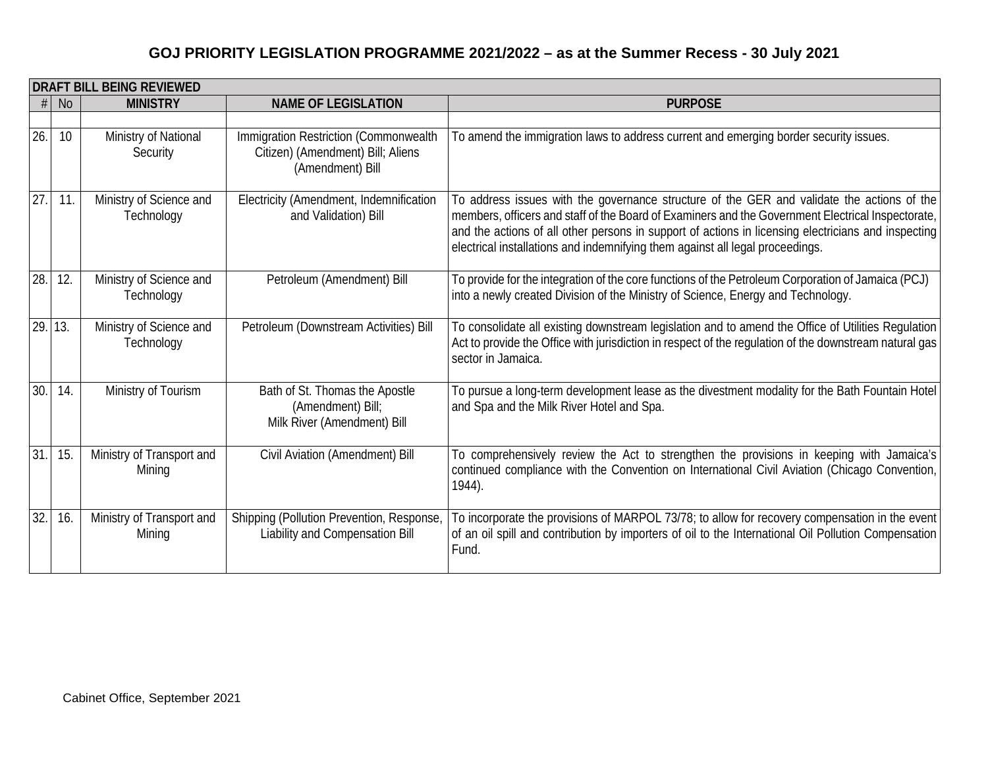|     | DRAFT BILL BEING REVIEWED |                                       |                                                                                                |                                                                                                                                                                                                                                                                                                                                                                                         |  |
|-----|---------------------------|---------------------------------------|------------------------------------------------------------------------------------------------|-----------------------------------------------------------------------------------------------------------------------------------------------------------------------------------------------------------------------------------------------------------------------------------------------------------------------------------------------------------------------------------------|--|
| #   | <b>No</b>                 | <b>MINISTRY</b>                       | <b>NAME OF LEGISLATION</b>                                                                     | <b>PURPOSE</b>                                                                                                                                                                                                                                                                                                                                                                          |  |
|     |                           |                                       |                                                                                                |                                                                                                                                                                                                                                                                                                                                                                                         |  |
| 26. | 10                        | Ministry of National<br>Security      | Immigration Restriction (Commonwealth<br>Citizen) (Amendment) Bill; Aliens<br>(Amendment) Bill | To amend the immigration laws to address current and emerging border security issues.                                                                                                                                                                                                                                                                                                   |  |
| 27. | 11.                       | Ministry of Science and<br>Technology | Electricity (Amendment, Indemnification<br>and Validation) Bill                                | To address issues with the governance structure of the GER and validate the actions of the<br>members, officers and staff of the Board of Examiners and the Government Electrical Inspectorate,<br>and the actions of all other persons in support of actions in licensing electricians and inspecting<br>electrical installations and indemnifying them against all legal proceedings. |  |
| 28. | 12.                       | Ministry of Science and<br>Technology | Petroleum (Amendment) Bill                                                                     | To provide for the integration of the core functions of the Petroleum Corporation of Jamaica (PCJ)<br>into a newly created Division of the Ministry of Science, Energy and Technology.                                                                                                                                                                                                  |  |
| 29. | 13.                       | Ministry of Science and<br>Technology | Petroleum (Downstream Activities) Bill                                                         | To consolidate all existing downstream legislation and to amend the Office of Utilities Regulation<br>Act to provide the Office with jurisdiction in respect of the regulation of the downstream natural gas<br>sector in Jamaica.                                                                                                                                                      |  |
| 30. | 14.                       | Ministry of Tourism                   | Bath of St. Thomas the Apostle<br>(Amendment) Bill;<br>Milk River (Amendment) Bill             | To pursue a long-term development lease as the divestment modality for the Bath Fountain Hotel<br>and Spa and the Milk River Hotel and Spa.                                                                                                                                                                                                                                             |  |
| 31. | 15.                       | Ministry of Transport and<br>Mining   | Civil Aviation (Amendment) Bill                                                                | To comprehensively review the Act to strengthen the provisions in keeping with Jamaica's<br>continued compliance with the Convention on International Civil Aviation (Chicago Convention,<br>1944).                                                                                                                                                                                     |  |
| 32. | 16.                       | Ministry of Transport and<br>Mining   | Shipping (Pollution Prevention, Response,<br>Liability and Compensation Bill                   | To incorporate the provisions of MARPOL 73/78; to allow for recovery compensation in the event<br>of an oil spill and contribution by importers of oil to the International Oil Pollution Compensation<br>Fund.                                                                                                                                                                         |  |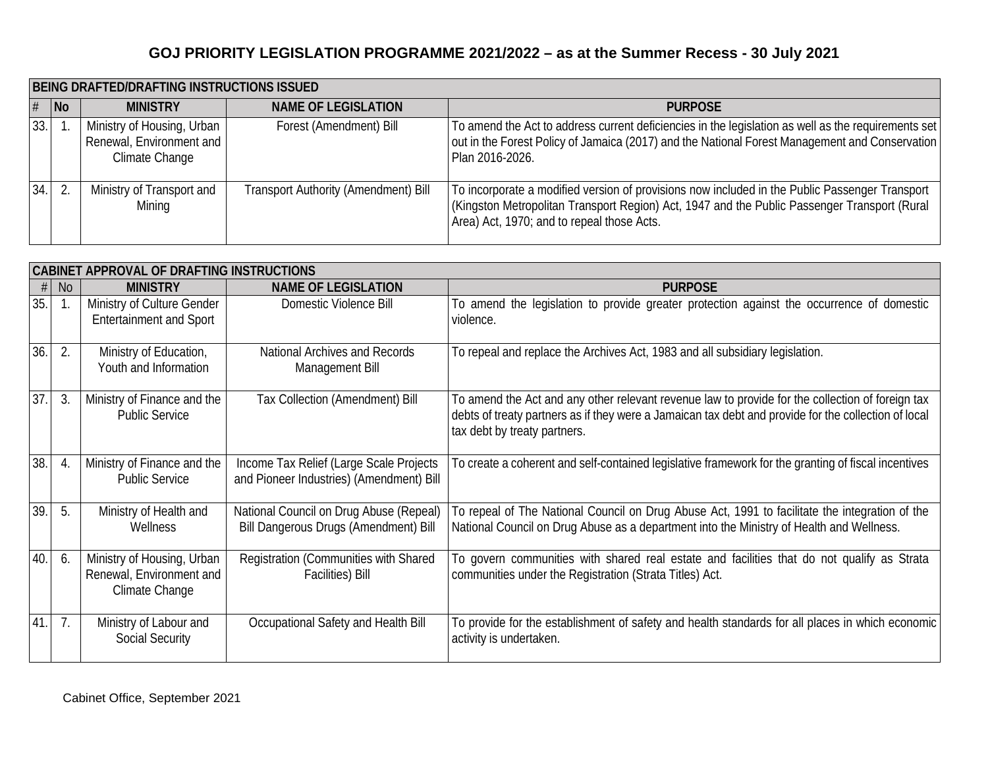|     | <b>BEING DRAFTED/DRAFTING INSTRUCTIONS ISSUED</b> |                                                                          |                                             |                                                                                                                                                                                                                                              |  |
|-----|---------------------------------------------------|--------------------------------------------------------------------------|---------------------------------------------|----------------------------------------------------------------------------------------------------------------------------------------------------------------------------------------------------------------------------------------------|--|
| #   | $\overline{\phantom{a}}$ No                       | <b>MINISTRY</b>                                                          | <b>NAME OF LEGISLATION</b>                  | <b>PURPOSE</b>                                                                                                                                                                                                                               |  |
| 33. |                                                   | Ministry of Housing, Urban<br>Renewal, Environment and<br>Climate Change | Forest (Amendment) Bill                     | To amend the Act to address current deficiencies in the legislation as well as the requirements set<br>out in the Forest Policy of Jamaica (2017) and the National Forest Management and Conservation<br>Plan 2016-2026.                     |  |
| 34. |                                                   | Ministry of Transport and<br>Mining                                      | <b>Transport Authority (Amendment) Bill</b> | To incorporate a modified version of provisions now included in the Public Passenger Transport<br>(Kingston Metropolitan Transport Region) Act, 1947 and the Public Passenger Transport (Rural<br>Area) Act, 1970; and to repeal those Acts. |  |

|                   | <b>CABINET APPROVAL OF DRAFTING INSTRUCTIONS</b> |                                                                          |                                                                                     |                                                                                                                                                                                                                                          |  |
|-------------------|--------------------------------------------------|--------------------------------------------------------------------------|-------------------------------------------------------------------------------------|------------------------------------------------------------------------------------------------------------------------------------------------------------------------------------------------------------------------------------------|--|
| #                 | No                                               | <b>MINISTRY</b>                                                          | <b>NAME OF LEGISLATION</b>                                                          | <b>PURPOSE</b>                                                                                                                                                                                                                           |  |
| 35.               |                                                  | Ministry of Culture Gender<br><b>Entertainment and Sport</b>             | Domestic Violence Bill                                                              | To amend the legislation to provide greater protection against the occurrence of domestic<br>violence.                                                                                                                                   |  |
| $\overline{36}$ . | 2.                                               | Ministry of Education,<br>Youth and Information                          | National Archives and Records<br>Management Bill                                    | To repeal and replace the Archives Act, 1983 and all subsidiary legislation.                                                                                                                                                             |  |
| 37                | 3.                                               | Ministry of Finance and the<br><b>Public Service</b>                     | Tax Collection (Amendment) Bill                                                     | To amend the Act and any other relevant revenue law to provide for the collection of foreign tax<br>debts of treaty partners as if they were a Jamaican tax debt and provide for the collection of local<br>tax debt by treaty partners. |  |
| 38.               | 4.                                               | Ministry of Finance and the<br><b>Public Service</b>                     | Income Tax Relief (Large Scale Projects<br>and Pioneer Industries) (Amendment) Bill | To create a coherent and self-contained legislative framework for the granting of fiscal incentives                                                                                                                                      |  |
| 39                | 5.                                               | Ministry of Health and<br>Wellness                                       | National Council on Drug Abuse (Repeal)<br>Bill Dangerous Drugs (Amendment) Bill    | To repeal of The National Council on Drug Abuse Act, 1991 to facilitate the integration of the<br>National Council on Drug Abuse as a department into the Ministry of Health and Wellness.                                               |  |
| 40.               | 6.                                               | Ministry of Housing, Urban<br>Renewal, Environment and<br>Climate Change | Registration (Communities with Shared<br><b>Facilities</b> ) Bill                   | To govern communities with shared real estate and facilities that do not qualify as Strata<br>communities under the Registration (Strata Titles) Act.                                                                                    |  |
| 41.               | 7.                                               | Ministry of Labour and<br><b>Social Security</b>                         | Occupational Safety and Health Bill                                                 | To provide for the establishment of safety and health standards for all places in which economic<br>activity is undertaken.                                                                                                              |  |